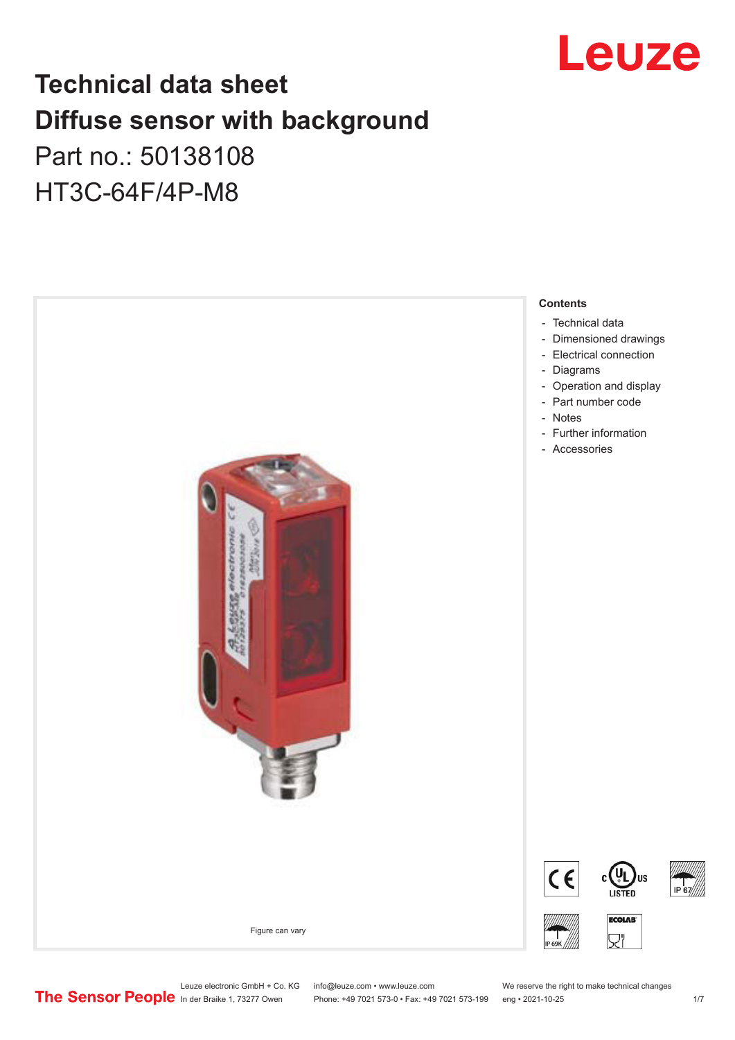

# **Technical data sheet Diffuse sensor with background**  Part no.: 50138108

HT3C-64F/4P-M8



Leuze electronic GmbH + Co. KG info@leuze.com • www.leuze.com We reserve the right to make technical changes<br>
The Sensor People in der Braike 1, 73277 Owen Phone: +49 7021 573-0 • Fax: +49 7021 573-199 eng • 2021-10-25

Phone: +49 7021 573-0 • Fax: +49 7021 573-199 eng • 2021-10-25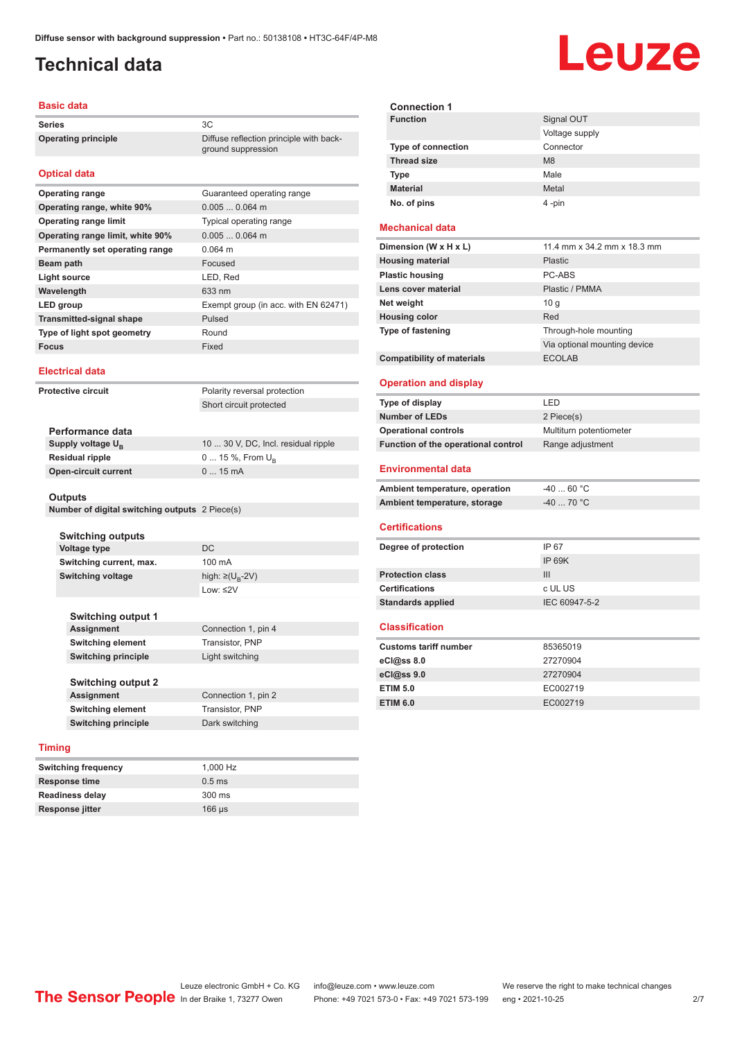ground suppression

## <span id="page-1-0"></span>**Technical data**

### **Basic data**

**Series** 3C **Operating principle** Diffuse reflection principle with back-

### **Optical data**

| <b>Operating range</b>           | Guaranteed operating range           |
|----------------------------------|--------------------------------------|
| Operating range, white 90%       | $0.0050.064$ m                       |
| <b>Operating range limit</b>     | Typical operating range              |
| Operating range limit, white 90% | $0.0050.064$ m                       |
| Permanently set operating range  | $0.064$ m                            |
| Beam path                        | Focused                              |
| Light source                     | LED, Red                             |
| Wavelength                       | 633 nm                               |
| LED group                        | Exempt group (in acc. with EN 62471) |
| <b>Transmitted-signal shape</b>  | Pulsed                               |
| Type of light spot geometry      | Round                                |
| <b>Focus</b>                     | Fixed                                |

### **Electrical data**

**Protective circuit** Polarity reversal protection Short circuit protected

| 10  30 V, DC, Incl. residual ripple |
|-------------------------------------|
| $0 15 \%$ , From $U_{p}$            |
| $015$ mA                            |
|                                     |

#### **Outputs**

**Number of digital switching outputs** 2 Piece(s)

| <b>Switching outputs</b>   |                                   |
|----------------------------|-----------------------------------|
| Voltage type               | DC                                |
| Switching current, max.    | 100 mA                            |
| <b>Switching voltage</b>   | high: $\geq$ (U <sub>B</sub> -2V) |
|                            | $1$ nw: $\leq$ 2V                 |
|                            |                                   |
| <b>Switching output 1</b>  |                                   |
| <b>Assignment</b>          | Connection 1, pin 4               |
| <b>Switching element</b>   | Transistor, PNP                   |
| <b>Switching principle</b> | Light switching                   |
|                            |                                   |
| <b>Switching output 2</b>  |                                   |
| <b>Assignment</b>          | Connection 1, pin 2               |
| <b>Switching element</b>   | Transistor, PNP                   |
| <b>Switching principle</b> | Dark switching                    |
|                            |                                   |

### **Timing**

| <b>Switching frequency</b> | 1.000 Hz         |
|----------------------------|------------------|
| Response time              | $0.5$ ms         |
| <b>Readiness delay</b>     | $300 \text{ ms}$ |
| Response jitter            | $166 \mu s$      |

| <b>Connection 1</b>       |                |  |
|---------------------------|----------------|--|
| <b>Function</b>           | Signal OUT     |  |
|                           | Voltage supply |  |
| <b>Type of connection</b> | Connector      |  |
| <b>Thread size</b>        | M8             |  |
| <b>Type</b>               | Male           |  |
| <b>Material</b>           | Metal          |  |
| No. of pins               | 4-pin          |  |

### **Mechanical data**

| Dimension (W x H x L)             | 11.4 mm x 34.2 mm x 18.3 mm  |
|-----------------------------------|------------------------------|
| <b>Housing material</b>           | <b>Plastic</b>               |
| <b>Plastic housing</b>            | PC-ABS                       |
| Lens cover material               | Plastic / PMMA               |
| Net weight                        | 10q                          |
| <b>Housing color</b>              | Red                          |
| <b>Type of fastening</b>          | Through-hole mounting        |
|                                   | Via optional mounting device |
| <b>Compatibility of materials</b> | <b>ECOLAB</b>                |

### **Operation and display**

| Type of display                     | I FD                    |
|-------------------------------------|-------------------------|
| <b>Number of LEDs</b>               | 2 Piece(s)              |
| <b>Operational controls</b>         | Multiturn potentiometer |
| Function of the operational control | Range adjustment        |

### **Environmental data**

| Ambient temperature, operation | -40  60 °C                       |
|--------------------------------|----------------------------------|
| Ambient temperature, storage   | $-40$ 70 $^{\circ}$ C $^{\circ}$ |

#### **Certifications**

| Degree of protection     | IP 67         |
|--------------------------|---------------|
|                          | IP 69K        |
| <b>Protection class</b>  | Ш             |
| <b>Certifications</b>    | c UL US       |
| <b>Standards applied</b> | IEC 60947-5-2 |

### **Classification**

| 85365019 |
|----------|
| 27270904 |
| 27270904 |
| EC002719 |
| EC002719 |
|          |

# Leuze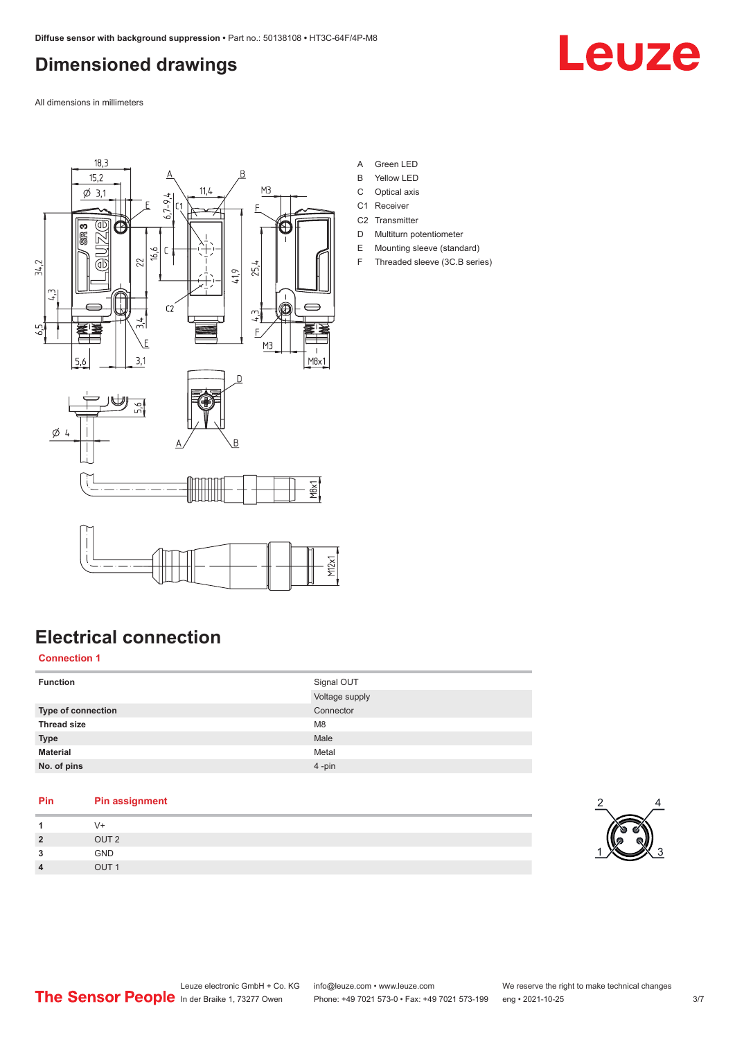# <span id="page-2-0"></span>**Dimensioned drawings**

Leuze

All dimensions in millimeters



- A Green LED
- B Yellow LED
- C Optical axis
- C1 Receiver
- C<sub>2</sub> Transmitter D Multiturn potentiometer
- E Mounting sleeve (standard)
- F Threaded sleeve (3C.B series)

# **Electrical connection**

**Connection 1**

| <b>Function</b>           | Signal OUT     |
|---------------------------|----------------|
|                           | Voltage supply |
| <b>Type of connection</b> | Connector      |
| <b>Thread size</b>        | M <sub>8</sub> |
| <b>Type</b>               | Male           |
| <b>Material</b>           | Metal          |
| No. of pins               | $4 - pin$      |

## **Pin Pin assignment 1** V+ **2** OUT 2 **3** GND **4** OUT 1

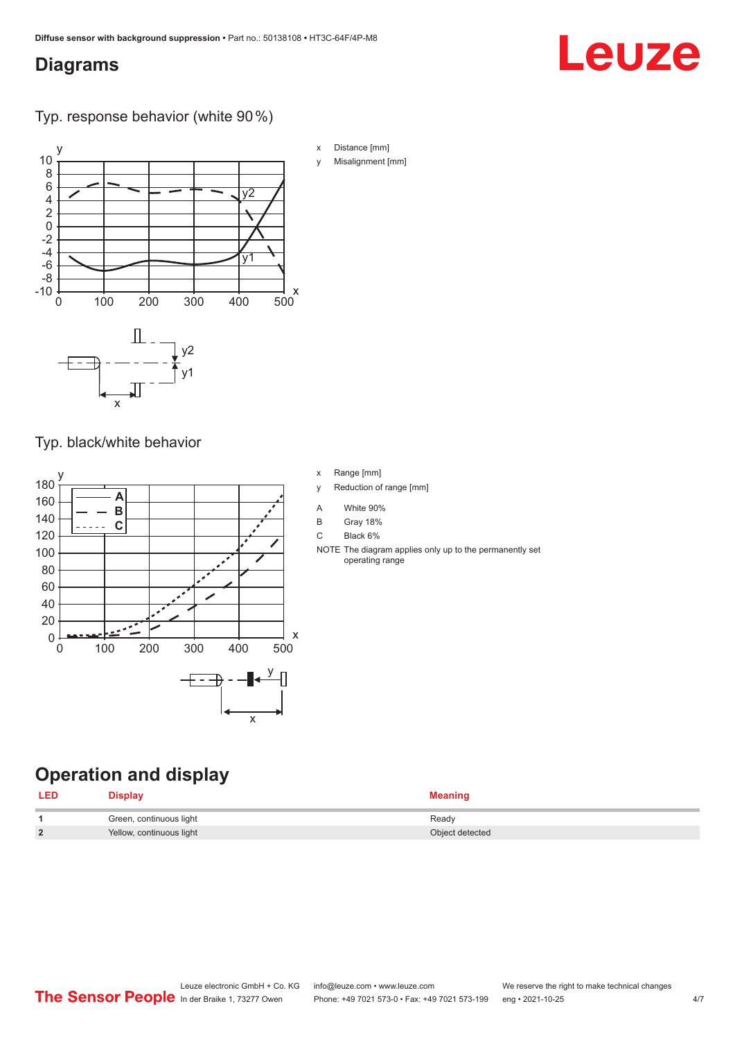## <span id="page-3-0"></span>**Diagrams**

# Leuze

Typ. response behavior (white 90 %)



Typ. black/white behavior



- x Range [mm]
- y Reduction of range [mm]
- A White 90%
- B Gray 18%
- C Black 6%
- NOTE The diagram applies only up to the permanently set operating range

## **Operation and display**

| <b>LED</b> | Nsnlav                   |                 |
|------------|--------------------------|-----------------|
|            | Green, continuous light  | Ready           |
| ຳ          | Yellow, continuous light | Object detected |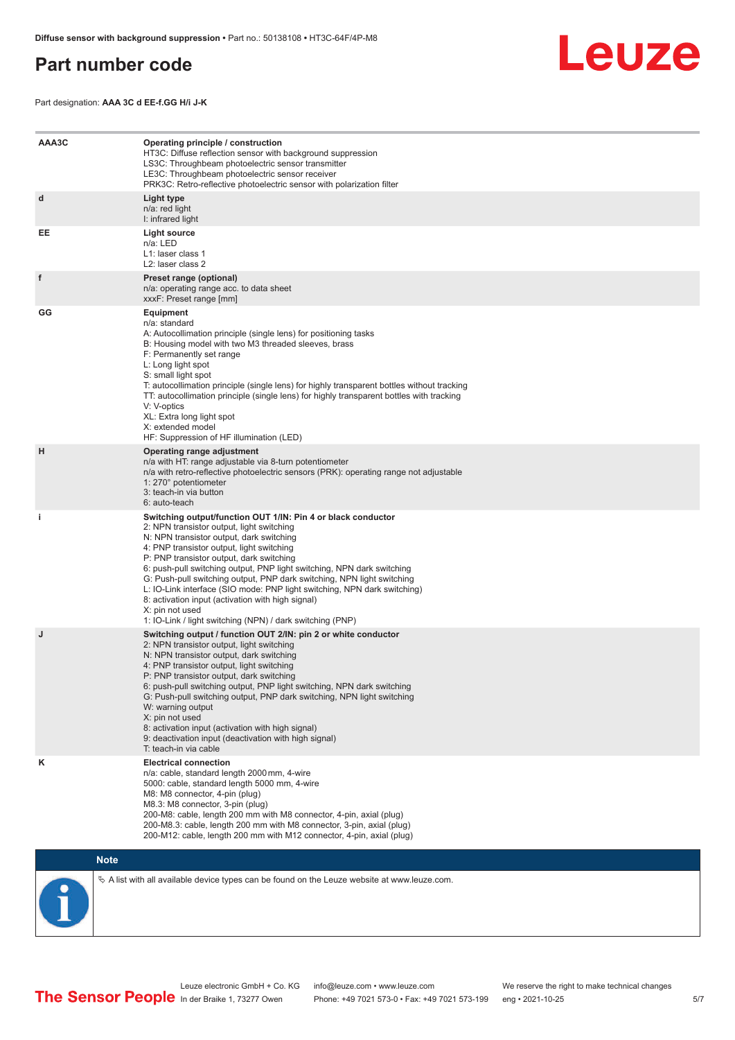## <span id="page-4-0"></span>**Part number code**



Part designation: **AAA 3C d EE-f.GG H/i J-K**

| AAA3C | Operating principle / construction<br>HT3C: Diffuse reflection sensor with background suppression<br>LS3C: Throughbeam photoelectric sensor transmitter<br>LE3C: Throughbeam photoelectric sensor receiver<br>PRK3C: Retro-reflective photoelectric sensor with polarization filter                                                                                                                                                                                                                                                                                                                                 |
|-------|---------------------------------------------------------------------------------------------------------------------------------------------------------------------------------------------------------------------------------------------------------------------------------------------------------------------------------------------------------------------------------------------------------------------------------------------------------------------------------------------------------------------------------------------------------------------------------------------------------------------|
| d     | Light type<br>n/a: red light<br>I: infrared light                                                                                                                                                                                                                                                                                                                                                                                                                                                                                                                                                                   |
| EE    | Light source<br>n/a: LED<br>L1: laser class 1<br>L2: laser class 2                                                                                                                                                                                                                                                                                                                                                                                                                                                                                                                                                  |
| f     | Preset range (optional)<br>n/a: operating range acc. to data sheet<br>xxxF: Preset range [mm]                                                                                                                                                                                                                                                                                                                                                                                                                                                                                                                       |
| GG    | <b>Equipment</b><br>n/a: standard<br>A: Autocollimation principle (single lens) for positioning tasks<br>B: Housing model with two M3 threaded sleeves, brass<br>F: Permanently set range<br>L: Long light spot<br>S: small light spot<br>T: autocollimation principle (single lens) for highly transparent bottles without tracking<br>TT: autocollimation principle (single lens) for highly transparent bottles with tracking<br>V: V-optics<br>XL: Extra long light spot<br>X: extended model<br>HF: Suppression of HF illumination (LED)                                                                       |
| H     | Operating range adjustment<br>n/a with HT: range adjustable via 8-turn potentiometer<br>n/a with retro-reflective photoelectric sensors (PRK): operating range not adjustable<br>1: 270° potentiometer<br>3: teach-in via button<br>6: auto-teach                                                                                                                                                                                                                                                                                                                                                                   |
| j.    | Switching output/function OUT 1/IN: Pin 4 or black conductor<br>2: NPN transistor output, light switching<br>N: NPN transistor output, dark switching<br>4: PNP transistor output, light switching<br>P: PNP transistor output, dark switching<br>6: push-pull switching output, PNP light switching, NPN dark switching<br>G: Push-pull switching output, PNP dark switching, NPN light switching<br>L: IO-Link interface (SIO mode: PNP light switching, NPN dark switching)<br>8: activation input (activation with high signal)<br>X: pin not used<br>1: IO-Link / light switching (NPN) / dark switching (PNP) |
| J     | Switching output / function OUT 2/IN: pin 2 or white conductor<br>2: NPN transistor output, light switching<br>N: NPN transistor output, dark switching<br>4: PNP transistor output, light switching<br>P: PNP transistor output, dark switching<br>6: push-pull switching output, PNP light switching, NPN dark switching<br>G: Push-pull switching output, PNP dark switching, NPN light switching<br>W: warning output<br>X: pin not used<br>8: activation input (activation with high signal)<br>9: deactivation input (deactivation with high signal)<br>T: teach-in via cable                                 |
| κ     | <b>Electrical connection</b><br>n/a: cable, standard length 2000 mm, 4-wire<br>5000: cable, standard length 5000 mm, 4-wire<br>M8: M8 connector, 4-pin (plug)<br>M8.3: M8 connector, 3-pin (plug)<br>200-M8: cable, length 200 mm with M8 connector, 4-pin, axial (plug)<br>200-M8.3: cable, length 200 mm with M8 connector, 3-pin, axial (plug)<br>200-M12: cable, length 200 mm with M12 connector, 4-pin, axial (plug)                                                                                                                                                                                          |

## **Note**



 $\%$  A list with all available device types can be found on the Leuze website at www.leuze.com.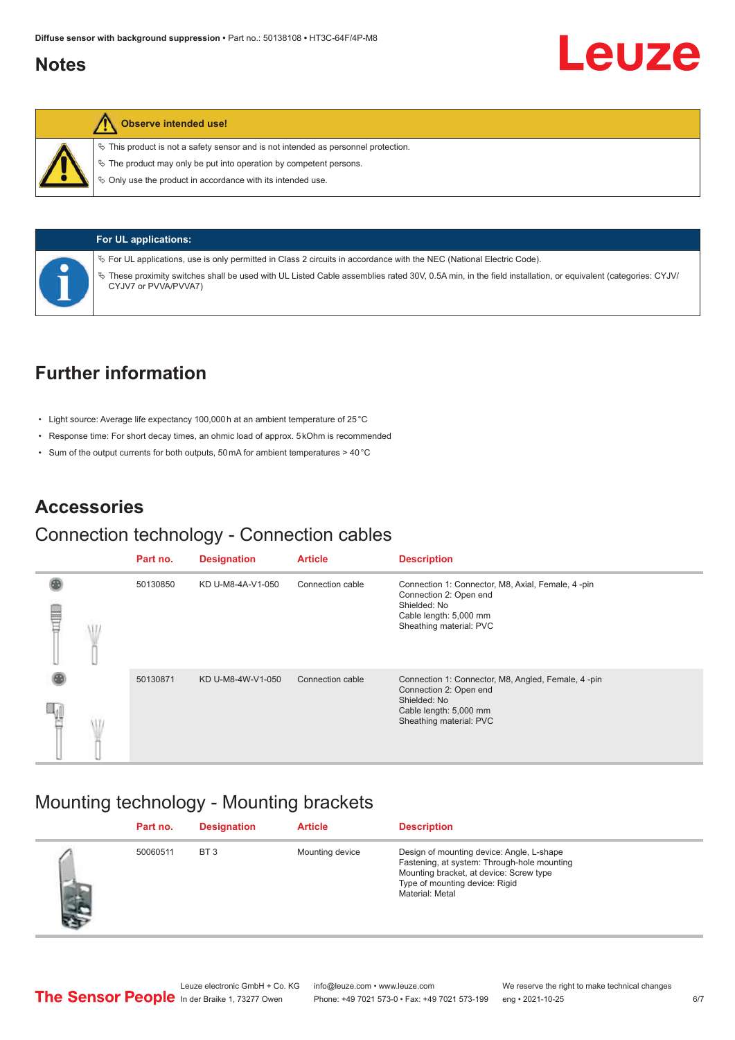## <span id="page-5-0"></span>**Notes**

## **Observe intended use!**

 $\%$  This product is not a safety sensor and is not intended as personnel protection.

 $\ddot{\phi}$  The product may only be put into operation by competent persons.

 $\%$  Only use the product in accordance with its intended use.



**For UL applications:**

ª For UL applications, use is only permitted in Class 2 circuits in accordance with the NEC (National Electric Code).

ª These proximity switches shall be used with UL Listed Cable assemblies rated 30V, 0.5A min, in the field installation, or equivalent (categories: CYJV/ CYJV7 or PVVA/PVVA7)

# **Further information**

- Light source: Average life expectancy 100,000 h at an ambient temperature of 25 °C
- Response time: For short decay times, an ohmic load of approx. 5 kOhm is recommended
- Sum of the output currents for both outputs, 50 mA for ambient temperatures > 40 °C

## **Accessories**

## Connection technology - Connection cables

|   |  | Part no. | <b>Designation</b> | <b>Article</b>   | <b>Description</b>                                                                                                                                |
|---|--|----------|--------------------|------------------|---------------------------------------------------------------------------------------------------------------------------------------------------|
| ▤ |  | 50130850 | KD U-M8-4A-V1-050  | Connection cable | Connection 1: Connector, M8, Axial, Female, 4-pin<br>Connection 2: Open end<br>Shielded: No<br>Cable length: 5,000 mm<br>Sheathing material: PVC  |
|   |  | 50130871 | KD U-M8-4W-V1-050  | Connection cable | Connection 1: Connector, M8, Angled, Female, 4-pin<br>Connection 2: Open end<br>Shielded: No<br>Cable length: 5,000 mm<br>Sheathing material: PVC |

## Mounting technology - Mounting brackets

|    | Part no. | <b>Designation</b> | <b>Article</b>  | <b>Description</b>                                                                                                                                                                       |
|----|----------|--------------------|-----------------|------------------------------------------------------------------------------------------------------------------------------------------------------------------------------------------|
| 小声 | 50060511 | BT <sub>3</sub>    | Mounting device | Design of mounting device: Angle, L-shape<br>Fastening, at system: Through-hole mounting<br>Mounting bracket, at device: Screw type<br>Type of mounting device: Rigid<br>Material: Metal |

Leuze